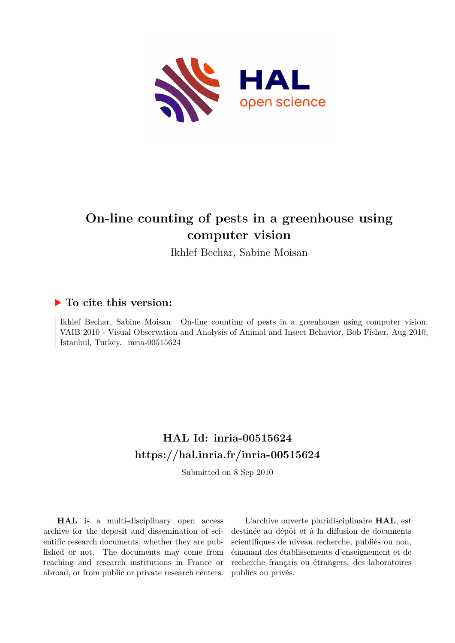

# **On-line counting of pests in a greenhouse using computer vision**

Ikhlef Bechar, Sabine Moisan

# **To cite this version:**

Ikhlef Bechar, Sabine Moisan. On-line counting of pests in a greenhouse using computer vision. VAIB 2010 - Visual Observation and Analysis of Animal and Insect Behavior, Bob Fisher, Aug 2010, Istanbul, Turkey. inria-00515624

# **HAL Id: inria-00515624 <https://hal.inria.fr/inria-00515624>**

Submitted on 8 Sep 2010

**HAL** is a multi-disciplinary open access archive for the deposit and dissemination of scientific research documents, whether they are published or not. The documents may come from teaching and research institutions in France or abroad, or from public or private research centers.

L'archive ouverte pluridisciplinaire **HAL**, est destinée au dépôt et à la diffusion de documents scientifiques de niveau recherche, publiés ou non, émanant des établissements d'enseignement et de recherche français ou étrangers, des laboratoires publics ou privés.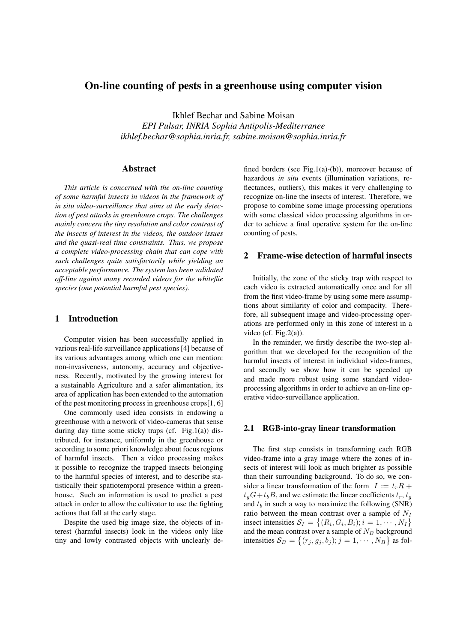# On-line counting of pests in a greenhouse using computer vision

Ikhlef Bechar and Sabine Moisan *EPI Pulsar, INRIA Sophia Antipolis-Mediterranee ikhlef.bechar@sophia.inria.fr, sabine.moisan@sophia.inria.fr*

#### Abstract

*This article is concerned with the on-line counting of some harmful insects in videos in the framework of in situ video-surveillance that aims at the early detection of pest attacks in greenhouse crops. The challenges mainly concern the tiny resolution and color contrast of the insects of interest in the videos, the outdoor issues and the quasi-real time constraints. Thus, we propose a complete video-processing chain that can cope with such challenges quite satisfactorily while yielding an acceptable performance. The system has been validated off-line against many recorded videos for the whiteflie species (one potential harmful pest species).*

#### 1 Introduction

Computer vision has been successfully applied in various real-life surveillance applications [4] because of its various advantages among which one can mention: non-invasiveness, autonomy, accuracy and objectiveness. Recently, motivated by the growing interest for a sustainable Agriculture and a safer alimentation, its area of application has been extended to the automation of the pest monitoring process in greenhouse crops[1, 6]

One commonly used idea consists in endowing a greenhouse with a network of video-cameras that sense during day time some sticky traps (cf. Fig.1(a)) distributed, for instance, uniformly in the greenhouse or according to some priori knowledge about focus regions of harmful insects. Then a video processing makes it possible to recognize the trapped insects belonging to the harmful species of interest, and to describe statistically their spatiotemporal presence within a greenhouse. Such an information is used to predict a pest attack in order to allow the cultivator to use the fighting actions that fall at the early stage.

Despite the used big image size, the objects of interest (harmful insects) look in the videos only like tiny and lowly contrasted objects with unclearly defined borders (see Fig.1(a)-(b)), moreover because of hazardous *in situ* events (illumination variations, reflectances, outliers), this makes it very challenging to recognize on-line the insects of interest. Therefore, we propose to combine some image processing operations with some classical video processing algorithms in order to achieve a final operative system for the on-line counting of pests.

### 2 Frame-wise detection of harmful insects

Initially, the zone of the sticky trap with respect to each video is extracted automatically once and for all from the first video-frame by using some mere assumptions about similarity of color and compacity. Therefore, all subsequent image and video-processing operations are performed only in this zone of interest in a video (cf. Fig.2(a)).

In the reminder, we firstly describe the two-step algorithm that we developed for the recognition of the harmful insects of interest in individual video-frames, and secondly we show how it can be speeded up and made more robust using some standard videoprocessing algorithms in order to achieve an on-line operative video-surveillance application.

#### 2.1 RGB-into-gray linear transformation

The first step consists in transforming each RGB video-frame into a gray image where the zones of insects of interest will look as much brighter as possible than their surrounding background. To do so, we consider a linear transformation of the form  $I := t_r R +$  $t<sub>g</sub>G+t<sub>b</sub>B$ , and we estimate the linear coefficients  $t<sub>r</sub>$ ,  $t<sub>g</sub>$ and  $t_b$  in such a way to maximize the following (SNR) ratio between the mean contrast over a sample of  $N_I$ insect intensities  $S_I = \{(R_i, G_i, B_i); i = 1, \cdots, N_I\}$ and the mean contrast over a sample of  $N_B$  background intensities  $S_B = \{(r_j, g_j, b_j); j = 1, \cdots, N_B\}$  as fol-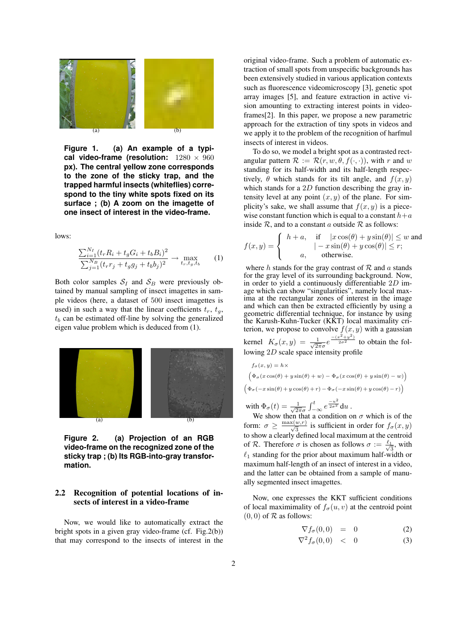

**Figure 1. (a) An example of a typical video-frame (resolution:** 1280 × 960 **px). The central yellow zone corresponds to the zone of the sticky trap, and the trapped harmful insects (whiteflies) correspond to the tiny white spots fixed on its surface ; (b) A zoom on the imagette of one insect of interest in the video-frame.**

lows:

$$
\frac{\sum_{i=1}^{N_I} (t_r R_i + t_g G_i + t_b B_i)^2}{\sum_{j=1}^{N_B} (t_r r_j + t_g g_j + t_b b_j)^2} \to \max_{t_r, t_g, t_b} \tag{1}
$$

Both color samples  $S_I$  and  $S_B$  were previously obtained by manual sampling of insect imagettes in sample videos (here, a dataset of 500 insect imagettes is used) in such a way that the linear coefficients  $t_r$ ,  $t_q$ ,  $t_b$  can be estimated off-line by solving the generalized eigen value problem which is deduced from (1).



**Figure 2. (a) Projection of an RGB video-frame on the recognized zone of the sticky trap ; (b) Its RGB-into-gray transformation.**

## 2.2 Recognition of potential locations of insects of interest in a video-frame

Now, we would like to automatically extract the bright spots in a given gray video-frame (cf. Fig.2(b)) that may correspond to the insects of interest in the original video-frame. Such a problem of automatic extraction of small spots from unspecific backgrounds has been extensively studied in various application contexts such as fluorescence videomicroscopy [3], genetic spot array images [5], and feature extraction in active vision amounting to extracting interest points in videoframes[2]. In this paper, we propose a new parametric approach for the extraction of tiny spots in videos and we apply it to the problem of the recognition of harfmul insects of interest in videos.

To do so, we model a bright spot as a contrasted rectangular pattern  $\mathcal{R} := \mathcal{R}(r, w, \theta, f(\cdot, \cdot))$ , with r and w standing for its half-width and its half-length respectively,  $\theta$  which stands for its tilt angle, and  $f(x, y)$ which stands for a  $2D$  function describing the gray intensity level at any point  $(x, y)$  of the plane. For simplicity's sake, we shall assume that  $f(x, y)$  is a piecewise constant function which is equal to a constant  $h+a$ inside  $R$ , and to a constant a outside  $R$  as follows:

$$
f(x,y) = \begin{cases} h+a, & \text{if } |x\cos(\theta) + y\sin(\theta)| \le w \text{ and} \\ l-x\sin(\theta) + y\cos(\theta)| \le r; \\ a, & \text{otherwise.} \end{cases}
$$

where h stands for the gray contrast of  $R$  and a stands for the gray level of its surrounding background. Now, in order to yield a continuously differentiable  $2D$  image which can show "singularities", namely local maxima at the rectangular zones of interest in the image and which can then be extracted efficiently by using a geometric differential technique, for instance by using the Karush-Kuhn-Tucker (KKT) local maximality criterion, we propose to convolve  $f(x, y)$  with a gaussian

kernel  $K_{\sigma}(x, y) = \frac{1}{\sqrt{2}}$  $\frac{1}{2\pi\sigma}e^{\frac{-(x^2+y^2)}{2\sigma^2}}$  to obtain the following 2D scale space intensity profile

$$
f_{\sigma}(x, y) = h \times
$$
  
\n
$$
\left(\Phi_{\sigma}(x \cos(\theta) + y \sin(\theta) + w) - \Phi_{\sigma}(x \cos(\theta) + y \sin(\theta) - w)\right)
$$
  
\n
$$
\left(\Phi_{\sigma}(-x \sin(\theta) + y \cos(\theta) + r) - \Phi_{\sigma}(-x \sin(\theta) + y \cos(\theta) - r)\right)
$$
  
\nwith  $\Phi_{\sigma}(t) = \frac{1}{\sqrt{2\pi\sigma}} \int_{-\infty}^{t} e^{\frac{-u^2}{2\sigma^2}} du$ .

 $\overline{2\pi}\sigma$  $\int_{-\infty}^{\tau} e^{\frac{u}{2\sigma^2}} du$ . We show then that a condition on  $\sigma$  which is of the form:  $\sigma \ge \frac{\max(w,r)}{\sqrt{3}}$  is sufficient in order for  $f_{\sigma}(x,y)$ to show a clearly defined local maximum at the centroid of R. Therefore  $\sigma$  is chosen as follows  $\sigma := \frac{\ell_1}{\sigma}$  $\frac{1}{3}$ , with  $\ell_1$  standing for the prior about maximum half-width or maximum half-length of an insect of interest in a video, and the latter can be obtained from a sample of manually segmented insect imagettes.

Now, one expresses the KKT sufficient conditions of local maximimality of  $f_{\sigma}(u, v)$  at the centroid point  $(0, 0)$  of  $R$  as follows:

$$
\nabla f_{\sigma}(0,0) = 0 \tag{2}
$$

$$
\nabla^2 f_\sigma(0,0) \quad < \quad 0 \tag{3}
$$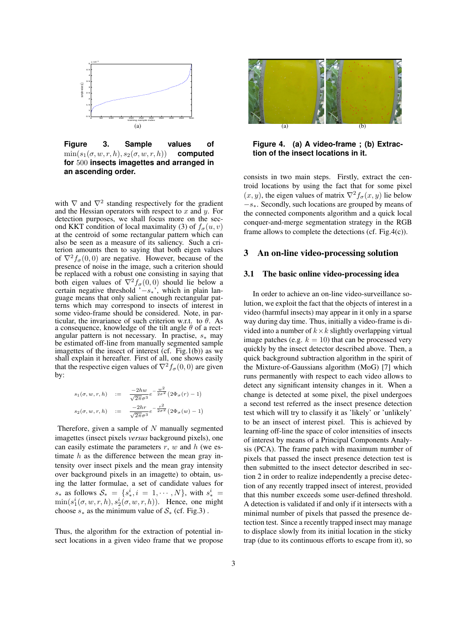

**Figure 3. Sample values of**  $\min(s_1(\sigma, w, r, h), s_2(\sigma, w, r, h))$  **computed for** 500 **insects imagettes and arranged in an ascending order.**

with  $\nabla$  and  $\nabla^2$  standing respectively for the gradient and the Hessian operators with respect to  $x$  and  $y$ . For detection purposes, we shall focus more on the second KKT condition of local maximality (3) of  $f_{\sigma}(u, v)$ at the centroid of some rectangular pattern which can also be seen as a measure of its saliency. Such a criterion amounts then to saying that both eigen values of  $\nabla^2 f_{\sigma}(0,0)$  are negative. However, because of the presence of noise in the image, such a criterion should be replaced with a robust one consisting in saying that both eigen values of  $\nabla^2 f_{\sigma}(0,0)$  should lie below a certain negative threshold ' $-s<sub>*</sub>$ ', which in plain language means that only salient enough rectangular patterns which may correspond to insects of interest in some video-frame should be considered. Note, in particular, the invariance of such criterion w.r.t. to  $\theta$ . As a consequence, knowledge of the tilt angle  $\theta$  of a rectangular pattern is not necessary. In practise,  $s_*$  may be estimated off-line from manually segmented sample imagettes of the insect of interest (cf. Fig.1(b)) as we shall explain it hereafter. First of all, one shows easily that the respective eigen values of  $\nabla^2 f_\sigma(0,0)$  are given by:

$$
s_1(\sigma, w, r, h) := \frac{-2hw}{\sqrt{2\pi}\sigma^3} e^{-\frac{w^2}{2\sigma^2}} (2\Phi_{\sigma}(r) - 1)
$$
  

$$
s_2(\sigma, w, r, h) := \frac{-2hr}{\sqrt{2\pi}\sigma^3} e^{-\frac{r^2}{2\sigma^2}} (2\Phi_{\sigma}(w) - 1)
$$

Therefore, given a sample of  $N$  manually segmented imagettes (insect pixels *versus* background pixels), one can easily estimate the parameters  $r$ ,  $w$  and  $h$  (we estimate  $h$  as the difference between the mean gray intensity over insect pixels and the mean gray intensity over background pixels in an imagette) to obtain, using the latter formulae, a set of candidate values for  $s_*$  as follows  $S_* = \{s_*^i, i = 1, \cdots, N\}$ , with  $s_*^i =$  $\min(s_1^i(\sigma, w, r, h), s_2^i(\sigma, w, r, h)).$  Hence, one might choose  $s_*$  as the minimum value of  $S_*$  (cf. Fig.3).

Thus, the algorithm for the extraction of potential insect locations in a given video frame that we propose



**Figure 4. (a) A video-frame ; (b) Extraction of the insect locations in it.**

consists in two main steps. Firstly, extract the centroid locations by using the fact that for some pixel  $(x, y)$ , the eigen values of matrix  $\nabla^2 f_{\sigma}(x, y)$  lie below −s∗. Secondly, such locations are grouped by means of the connected components algorithm and a quick local conquer-and-merge segmentation strategy in the RGB frame allows to complete the detections (cf. Fig.4(c)).

#### 3 An on-line video-processing solution

#### 3.1 The basic online video-processing idea

In order to achieve an on-line video-surveillance solution, we exploit the fact that the objects of interest in a video (harmful insects) may appear in it only in a sparse way during day time. Thus, initially a video-frame is divided into a number of  $k \times k$  slightly overlapping virtual image patches (e.g.  $k = 10$ ) that can be processed very quickly by the insect detector described above. Then, a quick background subtraction algorithm in the spirit of the Mixture-of-Gaussians algorithm (MoG) [7] which runs permanently with respect to each video allows to detect any significant intensity changes in it. When a change is detected at some pixel, the pixel undergoes a second test referred as the insect presence detection test which will try to classify it as 'likely' or 'unlikely' to be an insect of interest pixel. This is achieved by learning off-line the space of color intensities of insects of interest by means of a Principal Components Analysis (PCA). The frame patch with maximum number of pixels that passed the insect presence detection test is then submitted to the insect detector described in section 2 in order to realize independently a precise detection of any recently trapped insect of interest, provided that this number exceeds some user-defined threshold. A detection is validated if and only if it intersects with a minimal number of pixels that passed the presence detection test. Since a recently trapped insect may manage to displace slowly from its initial location in the sticky trap (due to its continuous efforts to escape from it), so